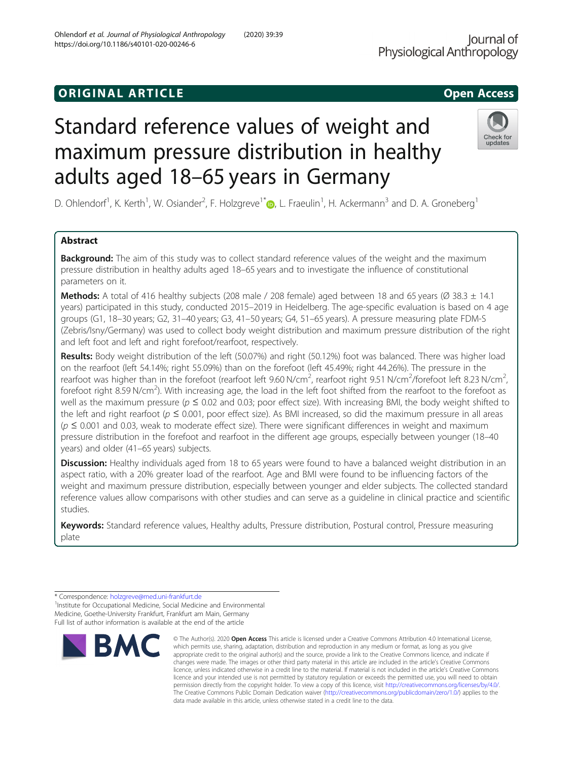# original and the open Access of the Open Access of the Open Access of the Open Access of the Open Access of the Open Access of the Open Access of the Open Access of the Open Access of the Open Access of the Open Access of

# Standard reference values of weight and maximum pressure distribution in healthy adults aged 18–65 years in Germany

D. Ohlendorf<sup>1</sup>[,](http://orcid.org/0000-0002-1115-131X) K. Kerth<sup>1</sup>, W. Osiander<sup>2</sup>, F. Holzgreve<sup>1\*</sup>@, L. Fraeulin<sup>1</sup>, H. Ackermann<sup>3</sup> and D. A. Groneberg<sup>1</sup>

# Abstract

**Background:** The aim of this study was to collect standard reference values of the weight and the maximum pressure distribution in healthy adults aged 18–65 years and to investigate the influence of constitutional parameters on it.

**Methods:** A total of 416 healthy subjects (208 male / 208 female) aged between 18 and 65 years ( $\varnothing$  38.3  $\pm$  14.1 years) participated in this study, conducted 2015–2019 in Heidelberg. The age-specific evaluation is based on 4 age groups (G1, 18–30 years; G2, 31–40 years; G3, 41–50 years; G4, 51–65 years). A pressure measuring plate FDM-S (Zebris/Isny/Germany) was used to collect body weight distribution and maximum pressure distribution of the right and left foot and left and right forefoot/rearfoot, respectively.

Results: Body weight distribution of the left (50.07%) and right (50.12%) foot was balanced. There was higher load on the rearfoot (left 54.14%; right 55.09%) than on the forefoot (left 45.49%; right 44.26%). The pressure in the rearfoot was higher than in the forefoot (rearfoot left 9.60 N/cm<sup>2</sup>, rearfoot right 9.51 N/cm<sup>2</sup>/forefoot left 8.23 N/cm<sup>2</sup> , forefoot right 8.59 N/cm<sup>2</sup>). With increasing age, the load in the left foot shifted from the rearfoot to the forefoot as well as the maximum pressure ( $p \le 0.02$  and 0.03; poor effect size). With increasing BMI, the body weight shifted to the left and right rearfoot ( $p \le 0.001$ , poor effect size). As BMI increased, so did the maximum pressure in all areas  $(p \le 0.001$  and 0.03, weak to moderate effect size). There were significant differences in weight and maximum pressure distribution in the forefoot and rearfoot in the different age groups, especially between younger (18–40 years) and older (41–65 years) subjects.

Discussion: Healthy individuals aged from 18 to 65 years were found to have a balanced weight distribution in an aspect ratio, with a 20% greater load of the rearfoot. Age and BMI were found to be influencing factors of the weight and maximum pressure distribution, especially between younger and elder subjects. The collected standard reference values allow comparisons with other studies and can serve as a guideline in clinical practice and scientific studies.

Keywords: Standard reference values, Healthy adults, Pressure distribution, Postural control, Pressure measuring plate







<sup>\*</sup> Correspondence: [holzgreve@med.uni-frankfurt.de](mailto:holzgreve@med.uni-frankfurt.de) <sup>1</sup>

<sup>&</sup>lt;sup>1</sup> Institute for Occupational Medicine, Social Medicine and Environmental Medicine, Goethe-University Frankfurt, Frankfurt am Main, Germany Full list of author information is available at the end of the article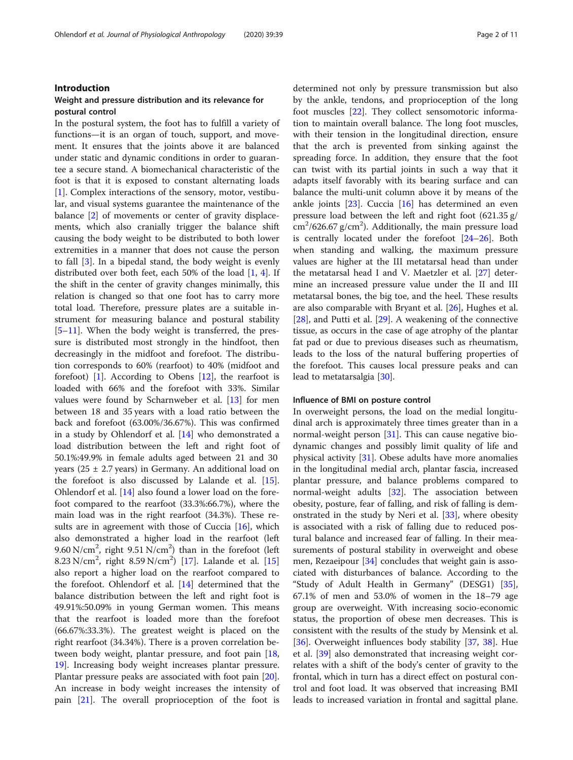# Introduction

# Weight and pressure distribution and its relevance for postural control

In the postural system, the foot has to fulfill a variety of functions—it is an organ of touch, support, and movement. It ensures that the joints above it are balanced under static and dynamic conditions in order to guarantee a secure stand. A biomechanical characteristic of the foot is that it is exposed to constant alternating loads [[1\]](#page-9-0). Complex interactions of the sensory, motor, vestibular, and visual systems guarantee the maintenance of the balance [\[2](#page-9-0)] of movements or center of gravity displacements, which also cranially trigger the balance shift causing the body weight to be distributed to both lower extremities in a manner that does not cause the person to fall [\[3\]](#page-9-0). In a bipedal stand, the body weight is evenly distributed over both feet, each 50% of the load  $[1, 4]$  $[1, 4]$  $[1, 4]$  $[1, 4]$ . If the shift in the center of gravity changes minimally, this relation is changed so that one foot has to carry more total load. Therefore, pressure plates are a suitable instrument for measuring balance and postural stability [[5](#page-9-0)–[11\]](#page-9-0). When the body weight is transferred, the pressure is distributed most strongly in the hindfoot, then decreasingly in the midfoot and forefoot. The distribution corresponds to 60% (rearfoot) to 40% (midfoot and forefoot)  $[1]$ . According to Obens  $[12]$  $[12]$  $[12]$ , the rearfoot is loaded with 66% and the forefoot with 33%. Similar values were found by Scharnweber et al. [[13\]](#page-9-0) for men between 18 and 35 years with a load ratio between the back and forefoot (63.00%/36.67%). This was confirmed in a study by Ohlendorf et al. [[14](#page-9-0)] who demonstrated a load distribution between the left and right foot of 50.1%:49.9% in female adults aged between 21 and 30 years ( $25 \pm 2.7$  years) in Germany. An additional load on the forefoot is also discussed by Lalande et al. [\[15](#page-9-0)]. Ohlendorf et al. [\[14](#page-9-0)] also found a lower load on the forefoot compared to the rearfoot (33.3%:66.7%), where the main load was in the right rearfoot (34.3%). These re-sults are in agreement with those of Cuccia [\[16\]](#page-9-0), which also demonstrated a higher load in the rearfoot (left 9.60 N/cm<sup>2</sup>, right 9.51 N/cm<sup>2</sup>) than in the forefoot (left 8.23 N/cm<sup>2</sup>, right 8.59 N/cm<sup>2</sup>) [\[17](#page-9-0)]. Lalande et al. [[15](#page-9-0)] also report a higher load on the rearfoot compared to the forefoot. Ohlendorf et al. [[14](#page-9-0)] determined that the balance distribution between the left and right foot is 49.91%:50.09% in young German women. This means that the rearfoot is loaded more than the forefoot (66.67%:33.3%). The greatest weight is placed on the right rearfoot (34.34%). There is a proven correlation between body weight, plantar pressure, and foot pain [[18](#page-9-0), [19\]](#page-9-0). Increasing body weight increases plantar pressure. Plantar pressure peaks are associated with foot pain [\[20](#page-9-0)]. An increase in body weight increases the intensity of pain [[21\]](#page-9-0). The overall proprioception of the foot is determined not only by pressure transmission but also by the ankle, tendons, and proprioception of the long foot muscles [\[22](#page-9-0)]. They collect sensomotoric information to maintain overall balance. The long foot muscles, with their tension in the longitudinal direction, ensure that the arch is prevented from sinking against the spreading force. In addition, they ensure that the foot can twist with its partial joints in such a way that it adapts itself favorably with its bearing surface and can balance the multi-unit column above it by means of the ankle joints [[23\]](#page-9-0). Cuccia [\[16](#page-9-0)] has determined an even pressure load between the left and right foot (621.35 g/  $\text{cm}^2/\text{626.67 g/cm}^2$ ). Additionally, the main pressure load is centrally located under the forefoot [\[24](#page-9-0)–[26](#page-9-0)]. Both when standing and walking, the maximum pressure values are higher at the III metatarsal head than under the metatarsal head I and V. Maetzler et al. [\[27](#page-9-0)] determine an increased pressure value under the II and III metatarsal bones, the big toe, and the heel. These results are also comparable with Bryant et al. [[26](#page-9-0)], Hughes et al. [[28\]](#page-9-0), and Putti et al. [\[29](#page-9-0)]. A weakening of the connective tissue, as occurs in the case of age atrophy of the plantar fat pad or due to previous diseases such as rheumatism, leads to the loss of the natural buffering properties of the forefoot. This causes local pressure peaks and can lead to metatarsalgia [\[30](#page-9-0)].

# Influence of BMI on posture control

In overweight persons, the load on the medial longitudinal arch is approximately three times greater than in a normal-weight person [\[31\]](#page-9-0). This can cause negative biodynamic changes and possibly limit quality of life and physical activity [\[31](#page-9-0)]. Obese adults have more anomalies in the longitudinal medial arch, plantar fascia, increased plantar pressure, and balance problems compared to normal-weight adults [[32\]](#page-9-0). The association between obesity, posture, fear of falling, and risk of falling is demonstrated in the study by Neri et al. [[33\]](#page-9-0), where obesity is associated with a risk of falling due to reduced postural balance and increased fear of falling. In their measurements of postural stability in overweight and obese men, Rezaeipour [[34](#page-9-0)] concludes that weight gain is associated with disturbances of balance. According to the "Study of Adult Health in Germany" (DESG1) [\[35](#page-9-0)], 67.1% of men and 53.0% of women in the 18–79 age group are overweight. With increasing socio-economic status, the proportion of obese men decreases. This is consistent with the results of the study by Mensink et al. [[36\]](#page-9-0). Overweight influences body stability [\[37](#page-9-0), [38\]](#page-9-0). Hue et al. [[39](#page-9-0)] also demonstrated that increasing weight correlates with a shift of the body's center of gravity to the frontal, which in turn has a direct effect on postural control and foot load. It was observed that increasing BMI leads to increased variation in frontal and sagittal plane.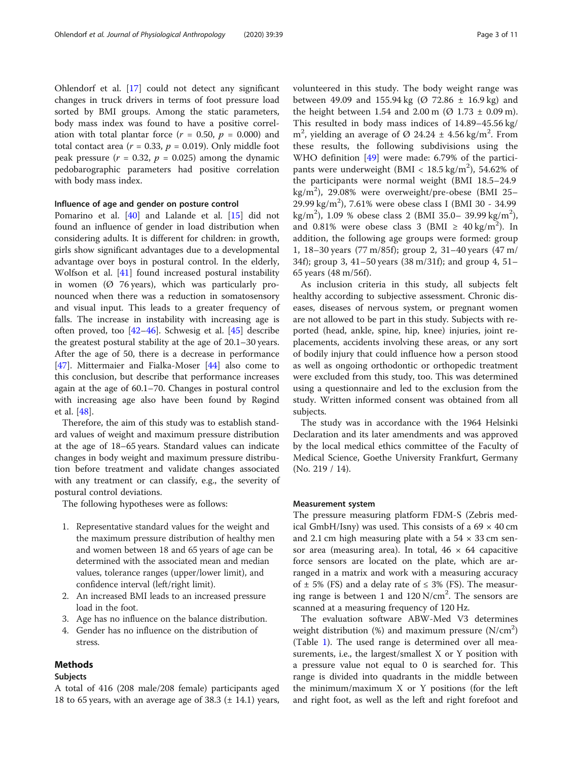Ohlendorf et al. [\[17](#page-9-0)] could not detect any significant changes in truck drivers in terms of foot pressure load sorted by BMI groups. Among the static parameters, body mass index was found to have a positive correlation with total plantar force  $(r = 0.50, p = 0.000)$  and total contact area ( $r = 0.33$ ,  $p = 0.019$ ). Only middle foot peak pressure ( $r = 0.32$ ,  $p = 0.025$ ) among the dynamic pedobarographic parameters had positive correlation with body mass index.

# Influence of age and gender on posture control

Pomarino et al. [[40\]](#page-9-0) and Lalande et al. [[15\]](#page-9-0) did not found an influence of gender in load distribution when considering adults. It is different for children: in growth, girls show significant advantages due to a developmental advantage over boys in postural control. In the elderly, Wolfson et al. [[41](#page-9-0)] found increased postural instability in women ( $\varnothing$  76 years), which was particularly pronounced when there was a reduction in somatosensory and visual input. This leads to a greater frequency of falls. The increase in instability with increasing age is often proved, too [\[42](#page-9-0)–[46\]](#page-10-0). Schwesig et al. [\[45\]](#page-10-0) describe the greatest postural stability at the age of 20.1–30 years. After the age of 50, there is a decrease in performance [[47\]](#page-10-0). Mittermaier and Fialka-Moser [\[44](#page-9-0)] also come to this conclusion, but describe that performance increases again at the age of 60.1–70. Changes in postural control with increasing age also have been found by Røgind et al. [\[48](#page-10-0)].

Therefore, the aim of this study was to establish standard values of weight and maximum pressure distribution at the age of 18–65 years. Standard values can indicate changes in body weight and maximum pressure distribution before treatment and validate changes associated with any treatment or can classify, e.g., the severity of postural control deviations.

The following hypotheses were as follows:

- 1. Representative standard values for the weight and the maximum pressure distribution of healthy men and women between 18 and 65 years of age can be determined with the associated mean and median values, tolerance ranges (upper/lower limit), and confidence interval (left/right limit).
- 2. An increased BMI leads to an increased pressure load in the foot.
- 3. Age has no influence on the balance distribution.
- 4. Gender has no influence on the distribution of stress.

# Methods

# Subjects

A total of 416 (208 male/208 female) participants aged 18 to 65 years, with an average age of 38.3  $(\pm 14.1)$  years, volunteered in this study. The body weight range was between 49.09 and 155.94 kg ( $\varnothing$  72.86  $\pm$  16.9 kg) and the height between 1.54 and 2.00 m ( $\varnothing$  1.73  $\pm$  0.09 m). This resulted in body mass indices of 14.89–45.56 kg/ m<sup>2</sup>, yielding an average of Ø 24.24  $\pm$  4.56 kg/m<sup>2</sup>. From these results, the following subdivisions using the WHO definition [\[49](#page-10-0)] were made: 6.79% of the participants were underweight (BMI <  $18.5 \text{ kg/m}^2$ ), 54.62% of the participants were normal weight (BMI 18.5–24.9 kg/m<sup>2</sup> ), 29.08% were overweight/pre-obese (BMI 25– 29.99 kg/m<sup>2</sup> ), 7.61% were obese class I (BMI 30 - 34.99 kg/m<sup>2</sup>), 1.09 % obese class 2 (BMI 35.0- 39.99 kg/m<sup>2</sup>), and 0.81% were obese class 3 (BMI  $\geq 40 \text{ kg/m}^2$ ). In addition, the following age groups were formed: group 1, 18–30 years (77 m/85f); group 2, 31–40 years (47 m/ 34f); group 3, 41–50 years (38 m/31f); and group 4, 51– 65 years (48 m/56f).

As inclusion criteria in this study, all subjects felt healthy according to subjective assessment. Chronic diseases, diseases of nervous system, or pregnant women are not allowed to be part in this study. Subjects with reported (head, ankle, spine, hip, knee) injuries, joint replacements, accidents involving these areas, or any sort of bodily injury that could influence how a person stood as well as ongoing orthodontic or orthopedic treatment were excluded from this study, too. This was determined using a questionnaire and led to the exclusion from the study. Written informed consent was obtained from all subjects.

The study was in accordance with the 1964 Helsinki Declaration and its later amendments and was approved by the local medical ethics committee of the Faculty of Medical Science, Goethe University Frankfurt, Germany (No. 219 / 14).

# Measurement system

The pressure measuring platform FDM-S (Zebris medical GmbH/Isny) was used. This consists of a  $69 \times 40$  cm and 2.1 cm high measuring plate with a  $54 \times 33$  cm sensor area (measuring area). In total,  $46 \times 64$  capacitive force sensors are located on the plate, which are arranged in a matrix and work with a measuring accuracy of  $\pm$  5% (FS) and a delay rate of  $\leq$  3% (FS). The measuring range is between 1 and  $120 \text{ N/cm}^2$ . The sensors are scanned at a measuring frequency of 120 Hz.

The evaluation software ABW-Med V3 determines weight distribution  $%$  and maximum pressure  $(N/cm<sup>2</sup>)$ (Table [1](#page-3-0)). The used range is determined over all measurements, i.e., the largest/smallest X or Y position with a pressure value not equal to 0 is searched for. This range is divided into quadrants in the middle between the minimum/maximum X or Y positions (for the left and right foot, as well as the left and right forefoot and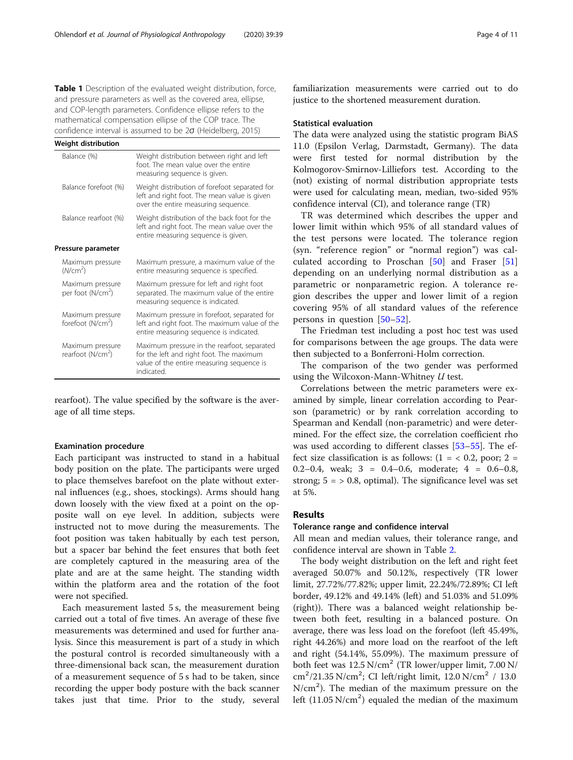<span id="page-3-0"></span>Table 1 Description of the evaluated weight distribution, force, and pressure parameters as well as the covered area, ellipse, and COP-length parameters. Confidence ellipse refers to the mathematical compensation ellipse of the COP trace. The confidence interval is assumed to be 2ϭ (Heidelberg, 2015)

| Weight distribution                               |                                                                                                                                                    |  |  |
|---------------------------------------------------|----------------------------------------------------------------------------------------------------------------------------------------------------|--|--|
| Balance (%)                                       | Weight distribution between right and left<br>foot. The mean value over the entire<br>measuring sequence is given.                                 |  |  |
| Balance forefoot (%)                              | Weight distribution of forefoot separated for<br>left and right foot. The mean value is given<br>over the entire measuring sequence.               |  |  |
| Balance rearfoot (%)                              | Weight distribution of the back foot for the<br>left and right foot. The mean value over the<br>entire measuring sequence is given.                |  |  |
| Pressure parameter                                |                                                                                                                                                    |  |  |
| Maximum pressure<br>(N/cm <sup>2</sup> )          | Maximum pressure, a maximum value of the<br>entire measuring sequence is specified.                                                                |  |  |
| Maximum pressure<br>per foot (N/cm <sup>2</sup> ) | Maximum pressure for left and right foot<br>separated. The maximum value of the entire<br>measuring sequence is indicated.                         |  |  |
| Maximum pressure<br>forefoot (N/cm <sup>2</sup> ) | Maximum pressure in forefoot, separated for<br>left and right foot. The maximum value of the<br>entire measuring sequence is indicated.            |  |  |
| Maximum pressure<br>rearfoot (N/cm <sup>2</sup> ) | Maximum pressure in the rearfoot, separated<br>for the left and right foot. The maximum<br>value of the entire measuring sequence is<br>indicated. |  |  |

rearfoot). The value specified by the software is the average of all time steps.

# Examination procedure

Each participant was instructed to stand in a habitual body position on the plate. The participants were urged to place themselves barefoot on the plate without external influences (e.g., shoes, stockings). Arms should hang down loosely with the view fixed at a point on the opposite wall on eye level. In addition, subjects were instructed not to move during the measurements. The foot position was taken habitually by each test person, but a spacer bar behind the feet ensures that both feet are completely captured in the measuring area of the plate and are at the same height. The standing width within the platform area and the rotation of the foot were not specified.

Each measurement lasted 5 s, the measurement being carried out a total of five times. An average of these five measurements was determined and used for further analysis. Since this measurement is part of a study in which the postural control is recorded simultaneously with a three-dimensional back scan, the measurement duration of a measurement sequence of 5 s had to be taken, since recording the upper body posture with the back scanner takes just that time. Prior to the study, several familiarization measurements were carried out to do justice to the shortened measurement duration.

# Statistical evaluation

The data were analyzed using the statistic program BiAS 11.0 (Epsilon Verlag, Darmstadt, Germany). The data were first tested for normal distribution by the Kolmogorov-Smirnov-Lilliefors test. According to the (not) existing of normal distribution appropriate tests were used for calculating mean, median, two-sided 95% confidence interval (CI), and tolerance range (TR)

TR was determined which describes the upper and lower limit within which 95% of all standard values of the test persons were located. The tolerance region (syn. "reference region" or "normal region") was calculated according to Proschan [[50\]](#page-10-0) and Fraser [\[51](#page-10-0)] depending on an underlying normal distribution as a parametric or nonparametric region. A tolerance region describes the upper and lower limit of a region covering 95% of all standard values of the reference persons in question [[50](#page-10-0)–[52\]](#page-10-0).

The Friedman test including a post hoc test was used for comparisons between the age groups. The data were then subjected to a Bonferroni-Holm correction.

The comparison of the two gender was performed using the Wilcoxon-Mann-Whitney U test.

Correlations between the metric parameters were examined by simple, linear correlation according to Pearson (parametric) or by rank correlation according to Spearman and Kendall (non-parametric) and were determined. For the effect size, the correlation coefficient rho was used according to different classes [\[53](#page-10-0)–[55\]](#page-10-0). The effect size classification is as follows:  $(1 = 0.2,$  poor;  $2 =$ 0.2–0.4, weak;  $3 = 0.4$ –0.6, moderate;  $4 = 0.6$ –0.8, strong;  $5 = 0.8$ , optimal). The significance level was set at 5%.

# Results

# Tolerance range and confidence interval

All mean and median values, their tolerance range, and confidence interval are shown in Table [2](#page-4-0).

The body weight distribution on the left and right feet averaged 50.07% and 50.12%, respectively (TR lower limit, 27.72%/77.82%; upper limit, 22.24%/72.89%; CI left border, 49.12% and 49.14% (left) and 51.03% and 51.09% (right)). There was a balanced weight relationship between both feet, resulting in a balanced posture. On average, there was less load on the forefoot (left 45.49%, right 44.26%) and more load on the rearfoot of the left and right (54.14%, 55.09%). The maximum pressure of both feet was 12.5 N/cm<sup>2</sup> (TR lower/upper limit, 7.00 N/ cm<sup>2</sup>/21.35 N/cm<sup>2</sup>; CI left/right limit, 12.0 N/cm<sup>2</sup> / 13.0 N/cm<sup>2</sup> ). The median of the maximum pressure on the left  $(11.05 \text{ N/cm}^2)$  equaled the median of the maximum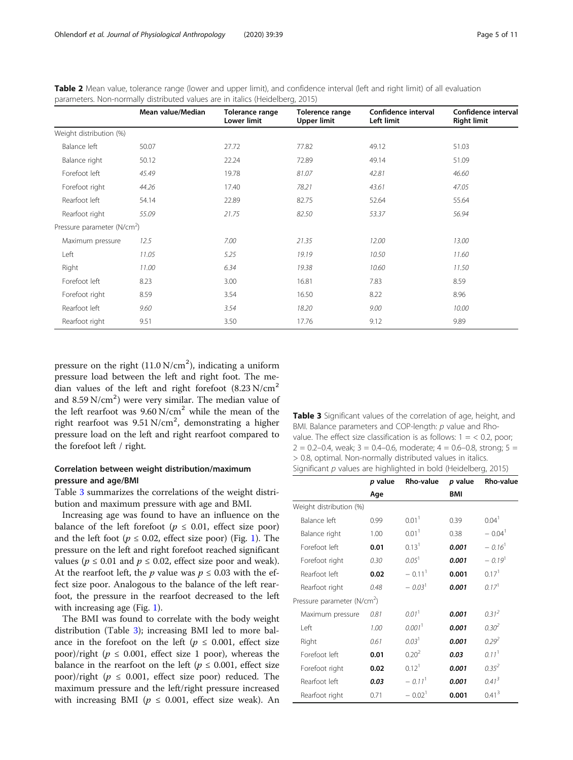|                                         | Mean value/Median | Tolerance range<br>Lower limit | Tolerence range<br><b>Upper limit</b> | Confidence interval<br>Left limit | Confidence interval<br><b>Right limit</b> |
|-----------------------------------------|-------------------|--------------------------------|---------------------------------------|-----------------------------------|-------------------------------------------|
| Weight distribution (%)                 |                   |                                |                                       |                                   |                                           |
| Balance left                            | 50.07             | 27.72                          | 77.82                                 | 49.12                             | 51.03                                     |
| Balance right                           | 50.12             | 22.24                          | 72.89                                 | 49.14                             | 51.09                                     |
| Forefoot left                           | 45.49             | 19.78                          | 81.07                                 | 42.81                             | 46.60                                     |
| Forefoot right                          | 44.26             | 17.40                          | 78.21                                 | 43.61                             | 47.05                                     |
| Rearfoot left                           | 54.14             | 22.89                          | 82.75                                 | 52.64                             | 55.64                                     |
| Rearfoot right                          | 55.09             | 21.75                          | 82.50                                 | 53.37                             | 56.94                                     |
| Pressure parameter (N/cm <sup>2</sup> ) |                   |                                |                                       |                                   |                                           |
| Maximum pressure                        | 12.5              | 7.00                           | 21.35                                 | 12.00                             | 13.00                                     |
| Left                                    | 11.05             | 5.25                           | 19.19                                 | 10.50                             | 11.60                                     |
| Right                                   | 11.00             | 6.34                           | 19.38                                 | 10.60                             | 11.50                                     |
| Forefoot left                           | 8.23              | 3.00                           | 16.81                                 | 7.83                              | 8.59                                      |
| Forefoot right                          | 8.59              | 3.54                           | 16.50                                 | 8.22                              | 8.96                                      |
| Rearfoot left                           | 9.60              | 3.54                           | 18.20                                 | 9.00                              | 10.00                                     |
| Rearfoot right                          | 9.51              | 3.50                           | 17.76                                 | 9.12                              | 9.89                                      |

<span id="page-4-0"></span>Table 2 Mean value, tolerance range (lower and upper limit), and confidence interval (left and right limit) of all evaluation parameters. Non-normally distributed values are in italics (Heidelberg, 2015)

pressure on the right  $(11.0 \text{ N/cm}^2)$ , indicating a uniform pressure load between the left and right foot. The median values of the left and right forefoot  $(8.23 \text{ N/cm}^2)$ and 8.59 N/cm<sup>2</sup>) were very similar. The median value of the left rearfoot was  $9.60$  N/cm<sup>2</sup> while the mean of the right rearfoot was 9.51 N/cm<sup>2</sup>, demonstrating a higher pressure load on the left and right rearfoot compared to the forefoot left / right.

# Correlation between weight distribution/maximum pressure and age/BMI

Table 3 summarizes the correlations of the weight distribution and maximum pressure with age and BMI.

Increasing age was found to have an influence on the balance of the left forefoot ( $p \le 0.01$ , effect size poor) and the left foot ( $p \le 0.02$ , effect size poor) (Fig. [1\)](#page-5-0). The pressure on the left and right forefoot reached significant values ( $p \le 0.01$  and  $p \le 0.02$ , effect size poor and weak). At the rearfoot left, the *p* value was  $p \le 0.03$  with the effect size poor. Analogous to the balance of the left rearfoot, the pressure in the rearfoot decreased to the left with increasing age (Fig. [1\)](#page-5-0).

The BMI was found to correlate with the body weight distribution (Table 3); increasing BMI led to more balance in the forefoot on the left ( $p \le 0.001$ , effect size poor)/right ( $p \le 0.001$ , effect size 1 poor), whereas the balance in the rearfoot on the left ( $p \leq 0.001$ , effect size poor)/right ( $p \le 0.001$ , effect size poor) reduced. The maximum pressure and the left/right pressure increased with increasing BMI ( $p \le 0.001$ , effect size weak). An Table 3 Significant values of the correlation of age, height, and BMI. Balance parameters and COP-length: p value and Rhovalue. The effect size classification is as follows:  $1 = < 0.2$ , poor;  $2 = 0.2$ –0.4, weak;  $3 = 0.4$ –0.6, moderate;  $4 = 0.6$ –0.8, strong;  $5 = 1$ > 0.8, optimal. Non-normally distributed values in italics. Significant  $p$  values are highlighted in bold (Heidelberg, 2015)

|                                         | p value | <b>Rho-value</b>     | p value    | <b>Rho-value</b>     |
|-----------------------------------------|---------|----------------------|------------|----------------------|
|                                         | Age     |                      | <b>BMI</b> |                      |
| Weight distribution (%)                 |         |                      |            |                      |
| Balance left                            | 0.99    | 0.01 <sup>1</sup>    | 0.39       | 0.04 <sup>1</sup>    |
| Balance right                           | 1.00    | 0.01 <sup>1</sup>    | 0.38       | $-0.04$ <sup>1</sup> |
| Forefoot left                           | 0.01    | 0.13 <sup>1</sup>    | 0.001      | $-0.16$ <sup>1</sup> |
| Forefoot right                          | 0.30    | $0.05^{1}$           | 0.001      | $-0.19$ <sup>1</sup> |
| Rearfoot left                           | 0.02    | $-0.11$ <sup>1</sup> | 0.001      | $0.17$ <sup>1</sup>  |
| Rearfoot right                          | 0.48    | $-0.03$ <sup>1</sup> | 0.001      | 0.17 <sup>1</sup>    |
| Pressure parameter (N/cm <sup>2</sup> ) |         |                      |            |                      |
| Maximum pressure                        | 0.81    | 0.01 <sup>1</sup>    | 0.001      | $0.31^{2}$           |
| I eft                                   | 1.00    | 0.001 <sup>1</sup>   | 0.001      | $0.30^{2}$           |
| Right                                   | 0.61    | 0.03 <sup>1</sup>    | 0.001      | $0.29^{2}$           |
| Forefoot left                           | 0.01    | 0.20 <sup>2</sup>    | 0.03       | 0.11 <sup>1</sup>    |
| Forefoot right                          | 0.02    | 0.12 <sup>1</sup>    | 0.001      | $0.35^{2}$           |
| Rearfoot left                           | 0.03    | $-0.11$ <sup>1</sup> | 0.001      | $0.41^{3}$           |
| Rearfoot right                          | 0.71    | $-0.02$ <sup>1</sup> | 0.001      | 0.41 <sup>3</sup>    |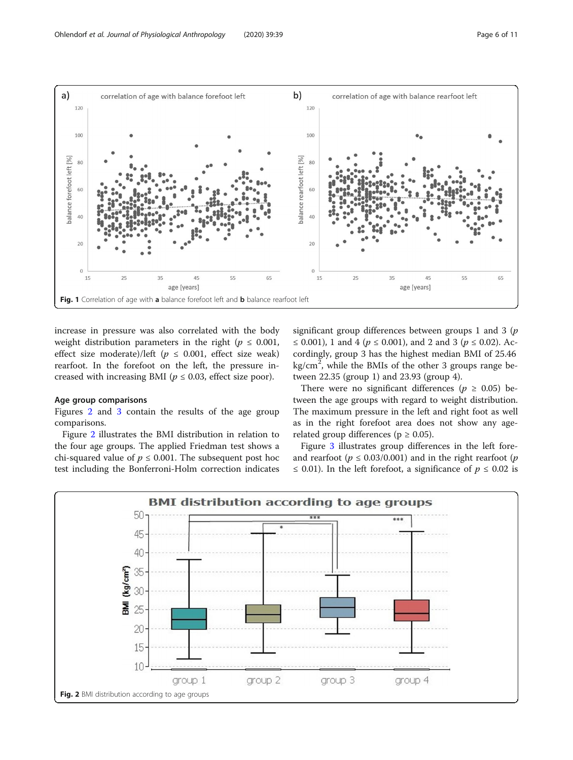<span id="page-5-0"></span>

increase in pressure was also correlated with the body weight distribution parameters in the right ( $p \leq 0.001$ , effect size moderate)/left ( $p \le 0.001$ , effect size weak) rearfoot. In the forefoot on the left, the pressure increased with increasing BMI ( $p \le 0.03$ , effect size poor).

### Age group comparisons

Figures 2 and [3](#page-6-0) contain the results of the age group comparisons.

Figure 2 illustrates the BMI distribution in relation to the four age groups. The applied Friedman test shows a chi-squared value of  $p \leq 0.001$ . The subsequent post hoc test including the Bonferroni-Holm correction indicates significant group differences between groups 1 and 3  $(p)$ ≤ 0.001), 1 and 4 ( $p$  ≤ 0.001), and 2 and 3 ( $p$  ≤ 0.02). Accordingly, group 3 has the highest median BMI of 25.46  $\text{kg/cm}^2$ , while the BMIs of the other 3 groups range between 22.35 (group 1) and 23.93 (group 4).

There were no significant differences ( $p \geq 0.05$ ) between the age groups with regard to weight distribution. The maximum pressure in the left and right foot as well as in the right forefoot area does not show any agerelated group differences ( $p \ge 0.05$ ).

Figure [3](#page-6-0) illustrates group differences in the left foreand rearfoot ( $p \le 0.03/0.001$ ) and in the right rearfoot ( $p$  $\leq$  0.01). In the left forefoot, a significance of  $p \leq 0.02$  is

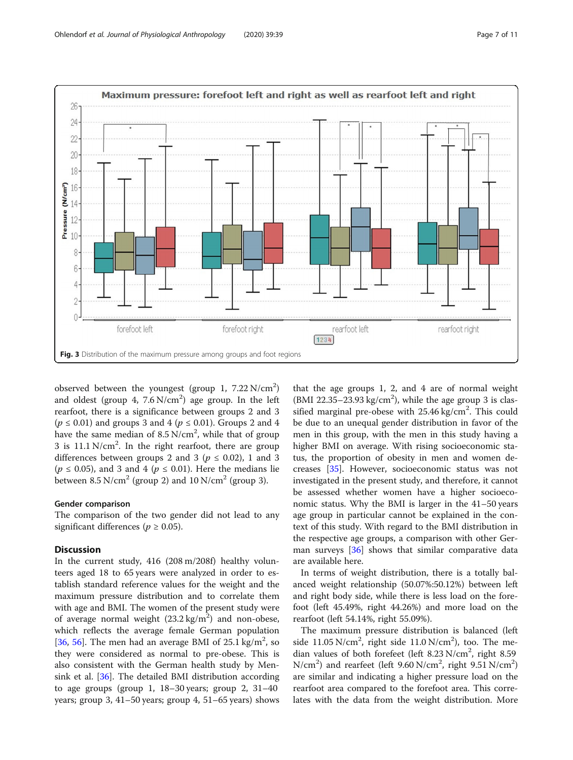<span id="page-6-0"></span>

observed between the youngest (group 1,  $7.22$  N/cm<sup>2</sup>) and oldest (group 4,  $7.6 \text{ N/cm}^2$ ) age group. In the left rearfoot, there is a significance between groups 2 and 3  $(p \le 0.01)$  and groups 3 and 4  $(p \le 0.01)$ . Groups 2 and 4 have the same median of  $8.5 \text{ N/cm}^2$ , while that of group 3 is  $11.1 \text{ N/cm}^2$ . In the right rearfoot, there are group differences between groups 2 and 3 ( $p \le 0.02$ ), 1 and 3 ( $p \le 0.05$ ), and 3 and 4 ( $p \le 0.01$ ). Here the medians lie between  $8.5 \text{ N/cm}^2$  (group 2) and  $10 \text{ N/cm}^2$  (group 3).

# Gender comparison

The comparison of the two gender did not lead to any significant differences ( $p \ge 0.05$ ).

# **Discussion**

In the current study, 416 (208 m/208f) healthy volunteers aged 18 to 65 years were analyzed in order to establish standard reference values for the weight and the maximum pressure distribution and to correlate them with age and BMI. The women of the present study were of average normal weight  $(23.2 \text{ kg/m}^2)$  and non-obese, which reflects the average female German population [[36,](#page-9-0) [56\]](#page-10-0). The men had an average BMI of  $25.1 \text{ kg/m}^2$ , so they were considered as normal to pre-obese. This is also consistent with the German health study by Mensink et al. [[36\]](#page-9-0). The detailed BMI distribution according to age groups (group 1,  $18-30$  years; group 2,  $31-40$ years; group 3, 41–50 years; group 4, 51–65 years) shows

that the age groups 1, 2, and 4 are of normal weight (BMI 22.35-23.93 kg/cm<sup>2</sup>), while the age group 3 is classified marginal pre-obese with  $25.46$  kg/cm<sup>2</sup>. This could be due to an unequal gender distribution in favor of the men in this group, with the men in this study having a higher BMI on average. With rising socioeconomic status, the proportion of obesity in men and women decreases [[35](#page-9-0)]. However, socioeconomic status was not investigated in the present study, and therefore, it cannot be assessed whether women have a higher socioeconomic status. Why the BMI is larger in the 41–50 years age group in particular cannot be explained in the context of this study. With regard to the BMI distribution in the respective age groups, a comparison with other German surveys [\[36](#page-9-0)] shows that similar comparative data are available here.

In terms of weight distribution, there is a totally balanced weight relationship (50.07%:50.12%) between left and right body side, while there is less load on the forefoot (left 45.49%, right 44.26%) and more load on the rearfoot (left 54.14%, right 55.09%).

The maximum pressure distribution is balanced (left side  $11.05 \text{ N/cm}^2$ , right side  $11.0 \text{ N/cm}^2$ ), too. The median values of both forefeet (left  $8.23$  N/cm<sup>2</sup>, right  $8.59$  $N/cm<sup>2</sup>$ ) and rearfeet (left 9.60  $N/cm<sup>2</sup>$ , right 9.51  $N/cm<sup>2</sup>$ ) are similar and indicating a higher pressure load on the rearfoot area compared to the forefoot area. This correlates with the data from the weight distribution. More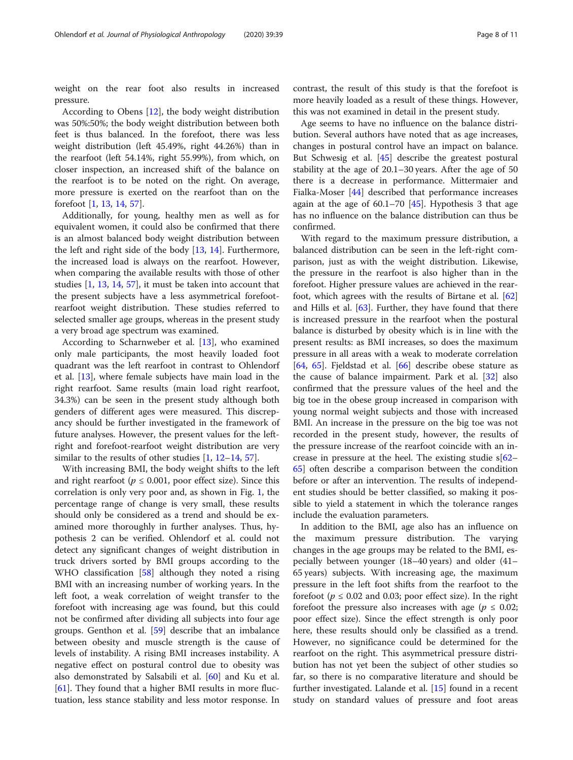weight on the rear foot also results in increased pressure.

According to Obens [[12\]](#page-9-0), the body weight distribution was 50%:50%; the body weight distribution between both feet is thus balanced. In the forefoot, there was less weight distribution (left 45.49%, right 44.26%) than in the rearfoot (left 54.14%, right 55.99%), from which, on closer inspection, an increased shift of the balance on the rearfoot is to be noted on the right. On average, more pressure is exerted on the rearfoot than on the forefoot [\[1](#page-9-0), [13,](#page-9-0) [14,](#page-9-0) [57\]](#page-10-0).

Additionally, for young, healthy men as well as for equivalent women, it could also be confirmed that there is an almost balanced body weight distribution between the left and right side of the body [[13,](#page-9-0) [14\]](#page-9-0). Furthermore, the increased load is always on the rearfoot. However, when comparing the available results with those of other studies [\[1](#page-9-0), [13](#page-9-0), [14](#page-9-0), [57](#page-10-0)], it must be taken into account that the present subjects have a less asymmetrical forefootrearfoot weight distribution. These studies referred to selected smaller age groups, whereas in the present study a very broad age spectrum was examined.

According to Scharnweber et al. [[13\]](#page-9-0), who examined only male participants, the most heavily loaded foot quadrant was the left rearfoot in contrast to Ohlendorf et al. [\[13\]](#page-9-0), where female subjects have main load in the right rearfoot. Same results (main load right rearfoot, 34.3%) can be seen in the present study although both genders of different ages were measured. This discrepancy should be further investigated in the framework of future analyses. However, the present values for the leftright and forefoot-rearfoot weight distribution are very similar to the results of other studies  $[1, 12-14, 57]$  $[1, 12-14, 57]$  $[1, 12-14, 57]$  $[1, 12-14, 57]$  $[1, 12-14, 57]$  $[1, 12-14, 57]$  $[1, 12-14, 57]$  $[1, 12-14, 57]$  $[1, 12-14, 57]$ .

With increasing BMI, the body weight shifts to the left and right rearfoot ( $p \le 0.001$ , poor effect size). Since this correlation is only very poor and, as shown in Fig. [1](#page-5-0), the percentage range of change is very small, these results should only be considered as a trend and should be examined more thoroughly in further analyses. Thus, hypothesis 2 can be verified. Ohlendorf et al. could not detect any significant changes of weight distribution in truck drivers sorted by BMI groups according to the WHO classification [[58](#page-10-0)] although they noted a rising BMI with an increasing number of working years. In the left foot, a weak correlation of weight transfer to the forefoot with increasing age was found, but this could not be confirmed after dividing all subjects into four age groups. Genthon et al. [[59](#page-10-0)] describe that an imbalance between obesity and muscle strength is the cause of levels of instability. A rising BMI increases instability. A negative effect on postural control due to obesity was also demonstrated by Salsabili et al. [[60\]](#page-10-0) and Ku et al. [[61\]](#page-10-0). They found that a higher BMI results in more fluctuation, less stance stability and less motor response. In contrast, the result of this study is that the forefoot is more heavily loaded as a result of these things. However, this was not examined in detail in the present study.

Age seems to have no influence on the balance distribution. Several authors have noted that as age increases, changes in postural control have an impact on balance. But Schwesig et al. [\[45\]](#page-10-0) describe the greatest postural stability at the age of 20.1–30 years. After the age of 50 there is a decrease in performance. Mittermaier and Fialka-Moser [[44](#page-9-0)] described that performance increases again at the age of  $60.1-70$  [[45\]](#page-10-0). Hypothesis 3 that age has no influence on the balance distribution can thus be confirmed.

With regard to the maximum pressure distribution, a balanced distribution can be seen in the left-right comparison, just as with the weight distribution. Likewise, the pressure in the rearfoot is also higher than in the forefoot. Higher pressure values are achieved in the rearfoot, which agrees with the results of Birtane et al. [[62](#page-10-0)] and Hills et al. [[63\]](#page-10-0). Further, they have found that there is increased pressure in the rearfoot when the postural balance is disturbed by obesity which is in line with the present results: as BMI increases, so does the maximum pressure in all areas with a weak to moderate correlation [[64,](#page-10-0) [65](#page-10-0)]. Fjeldstad et al. [\[66](#page-10-0)] describe obese stature as the cause of balance impairment. Park et al. [[32\]](#page-9-0) also confirmed that the pressure values of the heel and the big toe in the obese group increased in comparison with young normal weight subjects and those with increased BMI. An increase in the pressure on the big toe was not recorded in the present study, however, the results of the pressure increase of the rearfoot coincide with an increase in pressure at the heel. The existing studie  $s[62 s[62 s[62-$ [65\]](#page-10-0) often describe a comparison between the condition before or after an intervention. The results of independent studies should be better classified, so making it possible to yield a statement in which the tolerance ranges include the evaluation parameters.

In addition to the BMI, age also has an influence on the maximum pressure distribution. The varying changes in the age groups may be related to the BMI, especially between younger (18–40 years) and older (41– 65 years) subjects. With increasing age, the maximum pressure in the left foot shifts from the rearfoot to the forefoot ( $p \le 0.02$  and 0.03; poor effect size). In the right forefoot the pressure also increases with age ( $p \le 0.02$ ; poor effect size). Since the effect strength is only poor here, these results should only be classified as a trend. However, no significance could be determined for the rearfoot on the right. This asymmetrical pressure distribution has not yet been the subject of other studies so far, so there is no comparative literature and should be further investigated. Lalande et al. [\[15\]](#page-9-0) found in a recent study on standard values of pressure and foot areas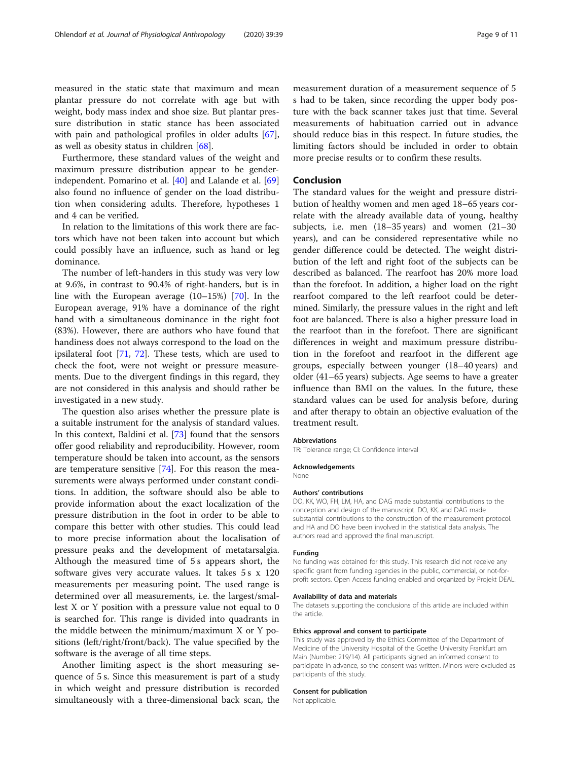measured in the static state that maximum and mean plantar pressure do not correlate with age but with weight, body mass index and shoe size. But plantar pressure distribution in static stance has been associated with pain and pathological profiles in older adults [\[67](#page-10-0)], as well as obesity status in children [[68\]](#page-10-0).

Furthermore, these standard values of the weight and maximum pressure distribution appear to be genderindependent. Pomarino et al. [\[40\]](#page-9-0) and Lalande et al. [[69](#page-10-0)] also found no influence of gender on the load distribution when considering adults. Therefore, hypotheses 1 and 4 can be verified.

In relation to the limitations of this work there are factors which have not been taken into account but which could possibly have an influence, such as hand or leg dominance.

The number of left-handers in this study was very low at 9.6%, in contrast to 90.4% of right-handers, but is in line with the European average (10–15%) [[70\]](#page-10-0). In the European average, 91% have a dominance of the right hand with a simultaneous dominance in the right foot (83%). However, there are authors who have found that handiness does not always correspond to the load on the ipsilateral foot [\[71,](#page-10-0) [72](#page-10-0)]. These tests, which are used to check the foot, were not weight or pressure measurements. Due to the divergent findings in this regard, they are not considered in this analysis and should rather be investigated in a new study.

The question also arises whether the pressure plate is a suitable instrument for the analysis of standard values. In this context, Baldini et al. [\[73](#page-10-0)] found that the sensors offer good reliability and reproducibility. However, room temperature should be taken into account, as the sensors are temperature sensitive [[74\]](#page-10-0). For this reason the measurements were always performed under constant conditions. In addition, the software should also be able to provide information about the exact localization of the pressure distribution in the foot in order to be able to compare this better with other studies. This could lead to more precise information about the localisation of pressure peaks and the development of metatarsalgia. Although the measured time of 5 s appears short, the software gives very accurate values. It takes 5 s x 120 measurements per measuring point. The used range is determined over all measurements, i.e. the largest/smallest X or Y position with a pressure value not equal to 0 is searched for. This range is divided into quadrants in the middle between the minimum/maximum X or Y positions (left/right/front/back). The value specified by the software is the average of all time steps.

Another limiting aspect is the short measuring sequence of 5 s. Since this measurement is part of a study in which weight and pressure distribution is recorded simultaneously with a three-dimensional back scan, the

measurement duration of a measurement sequence of 5 s had to be taken, since recording the upper body posture with the back scanner takes just that time. Several measurements of habituation carried out in advance should reduce bias in this respect. In future studies, the limiting factors should be included in order to obtain more precise results or to confirm these results.

# Conclusion

The standard values for the weight and pressure distribution of healthy women and men aged 18–65 years correlate with the already available data of young, healthy subjects, i.e. men (18–35 years) and women (21–30 years), and can be considered representative while no gender difference could be detected. The weight distribution of the left and right foot of the subjects can be described as balanced. The rearfoot has 20% more load than the forefoot. In addition, a higher load on the right rearfoot compared to the left rearfoot could be determined. Similarly, the pressure values in the right and left foot are balanced. There is also a higher pressure load in the rearfoot than in the forefoot. There are significant differences in weight and maximum pressure distribution in the forefoot and rearfoot in the different age groups, especially between younger (18–40 years) and older (41–65 years) subjects. Age seems to have a greater influence than BMI on the values. In the future, these standard values can be used for analysis before, during and after therapy to obtain an objective evaluation of the treatment result.

# Abbreviations

TR: Tolerance range; CI: Confidence interval

#### Acknowledgements

None

Authors' contributions

DO, KK, WO, FH, LM, HA, and DAG made substantial contributions to the conception and design of the manuscript. DO, KK, and DAG made substantial contributions to the construction of the measurement protocol. and HA and DO have been involved in the statistical data analysis. The authors read and approved the final manuscript.

# Funding

No funding was obtained for this study. This research did not receive any specific grant from funding agencies in the public, commercial, or not-forprofit sectors. Open Access funding enabled and organized by Projekt DEAL.

#### Availability of data and materials

The datasets supporting the conclusions of this article are included within the article.

#### Ethics approval and consent to participate

This study was approved by the Ethics Committee of the Department of Medicine of the University Hospital of the Goethe University Frankfurt am Main (Number: 219/14). All participants signed an informed consent to participate in advance, so the consent was written. Minors were excluded as participants of this study.

# Consent for publication

Not applicable.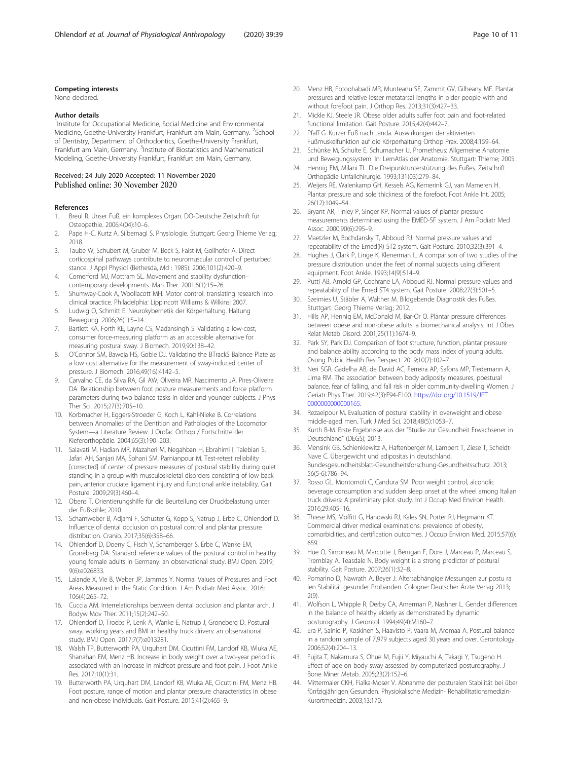# <span id="page-9-0"></span>Competing interests

None declared.

# Author details

<sup>1</sup>Institute for Occupational Medicine, Social Medicine and Environmental Medicine, Goethe-University Frankfurt, Frankfurt am Main, Germany. <sup>2</sup>School of Dentistry, Department of Orthodontics, Goethe-University Frankfurt, Frankfurt am Main, Germany. <sup>3</sup>Institute of Biostatistics and Mathematical Modeling, Goethe-University Frankfurt, Frankfurt am Main, Germany.

# Received: 24 July 2020 Accepted: 11 November 2020 Published online: 30 November 2020

#### References

- 1. Breul R. Unser Fuß, ein komplexes Organ. DO-Deutsche Zeitschrift für Osteopathie. 2006;4(04):10–6.
- 2. Pape H-C, Kurtz A, Silbernagl S. Physiologie. Stuttgart: Georg Thieme Verlag; 2018.
- 3. Taube W, Schubert M, Gruber M, Beck S, Faist M, Gollhofer A. Direct corticospinal pathways contribute to neuromuscular control of perturbed stance. J Appl Physiol (Bethesda, Md : 1985). 2006;101(2):420–9.
- 4. Comerford MJ, Mottram SL. Movement and stability dysfunction– contemporary developments. Man Ther. 2001;6(1):15–26.
- 5. Shumway-Cook A, Woollacott MH. Motor control: translating research into clinical practice. Philadelphia: Lippincott Williams & Wilkins; 2007.
- 6. Ludwig O, Schmitt E. Neurokybernetik der Körperhaltung. Haltung Bewegung. 2006;26(1):5–14.
- 7. Bartlett KA, Forth KE, Layne CS, Madansingh S. Validating a low-cost, consumer force-measuring platform as an accessible alternative for measuring postural sway. J Biomech. 2019;90:138–42.
- 8. O'Connor SM, Baweja HS, Goble DJ. Validating the BTrackS Balance Plate as a low cost alternative for the measurement of sway-induced center of pressure. J Biomech. 2016;49(16):4142–5.
- 9. Carvalho CE, da Silva RA, Gil AW, Oliveira MR, Nascimento JA, Pires-Oliveira DA. Relationship between foot posture measurements and force platform parameters during two balance tasks in older and younger subjects. J Phys Ther Sci. 2015;27(3):705–10.
- 10. Korbmacher H, Eggers-Stroeder G, Koch L, Kahl-Nieke B. Correlations between Anomalies of the Dentition and Pathologies of the Locomotor System—a Literature Review. J Orofac Orthop / Fortschritte der Kieferorthopädie. 2004;65(3):190–203.
- 11. Salavati M, Hadian MR, Mazaheri M, Negahban H, Ebrahimi I, Talebian S, Jafari AH, Sanjari MA, Sohani SM, Parnianpour M. Test-retest reliability [corrected] of center of pressure measures of postural stability during quiet standing in a group with musculoskeletal disorders consisting of low back pain, anterior cruciate ligament injury and functional ankle instability. Gait Posture. 2009;29(3):460–4.
- 12. Obens T. Orientierungshilfe für die Beurteilung der Druckbelastung unter der Fußsohle; 2010.
- 13. Scharnweber B, Adjami F, Schuster G, Kopp S, Natrup J, Erbe C, Ohlendorf D. Influence of dental occlusion on postural control and plantar pressure distribution. Cranio. 2017;35(6):358–66.
- 14. Ohlendorf D, Doerry C, Fisch V, Schamberger S, Erbe C, Wanke EM, Groneberg DA. Standard reference values of the postural control in healthy young female adults in Germany: an observational study. BMJ Open. 2019; 9(6):e026833.
- 15. Lalande X, Vie B, Weber JP, Jammes Y. Normal Values of Pressures and Foot Areas Measured in the Static Condition. J Am Podiatr Med Assoc. 2016; 106(4):265–72.
- 16. Cuccia AM. Interrelationships between dental occlusion and plantar arch. J Bodyw Mov Ther. 2011;15(2):242–50.
- 17. Ohlendorf D, Troebs P, Lenk A, Wanke E, Natrup J, Groneberg D. Postural sway, working years and BMI in healthy truck drivers: an observational study. BMJ Open. 2017;7(7):e013281.
- 18. Walsh TP, Butterworth PA, Urquhart DM, Cicuttini FM, Landorf KB, Wluka AE, Shanahan EM, Menz HB. Increase in body weight over a two-year period is associated with an increase in midfoot pressure and foot pain. J Foot Ankle Res. 2017;10(1):31.
- 19. Butterworth PA, Urquhart DM, Landorf KB, Wluka AE, Cicuttini FM, Menz HB. Foot posture, range of motion and plantar pressure characteristics in obese and non-obese individuals. Gait Posture. 2015;41(2):465–9.
- 20. Menz HB, Fotoohabadi MR, Munteanu SE, Zammit GV, Gilheany MF. Plantar pressures and relative lesser metatarsal lengths in older people with and without forefoot pain. J Orthop Res. 2013;31(3):427–33.
- 21. Mickle KJ, Steele JR. Obese older adults suffer foot pain and foot-related functional limitation. Gait Posture. 2015;42(4):442–7.
- 22. Pfaff G. Kurzer Fuß nach Janda. Auswirkungen der aktivierten Fußmuskelfunktion auf die Körperhaltung Orthop Prax. 2008;4:159–64.
- 23. Schünke M, Schulte E, Schumacher U. Prometheus: Allgemeine Anatomie und Bewegungssystem. In: LernAtlas der Anatomie. Stuttgart: Thieme; 2005.
- 24. Hennig EM, Milani TL. Die Dreipunktunterstützung des Fußes. Zeitschrift Orthopädie Unfallchirurgie. 1993;131(03):279–84.
- 25. Weijers RE, Walenkamp GH, Kessels AG, Kemerink GJ, van Mameren H. Plantar pressure and sole thickness of the forefoot. Foot Ankle Int. 2005; 26(12):1049–54.
- 26. Bryant AR, Tinley P, Singer KP. Normal values of plantar pressure measurements determined using the EMED-SF system. J Am Podiatr Med Assoc. 2000;90(6):295–9.
- 27. Maetzler M, Bochdansky T, Abboud RJ. Normal pressure values and repeatability of the Emed(R) ST2 system. Gait Posture. 2010;32(3):391–4.
- 28. Hughes J, Clark P, Linge K, Klenerman L. A comparison of two studies of the pressure distribution under the feet of normal subjects using different equipment. Foot Ankle. 1993;14(9):514–9.
- 29. Putti AB, Arnold GP, Cochrane LA, Abboud RJ. Normal pressure values and repeatability of the Emed ST4 system. Gait Posture. 2008;27(3):501–5.
- 30. Szeimies U, Stäbler A, Walther M. Bildgebende Diagnostik des Fußes. Stuttgart: Georg Thieme Verlag; 2012.
- 31. Hills AP, Hennig EM, McDonald M, Bar-Or O. Plantar pressure differences between obese and non-obese adults: a biomechanical analysis. Int J Obes Relat Metab Disord. 2001;25(11):1674–9.
- 32. Park SY, Park DJ. Comparison of foot structure, function, plantar pressure and balance ability according to the body mass index of young adults. Osong Public Health Res Perspect. 2019;10(2):102–7.
- 33. Neri SGR, Gadelha AB, de David AC, Ferreira AP, Safons MP, Tiedemann A, Lima RM. The association between body adiposity measures, poestural balance, fear of falling, and fall risk in older community-dwelling Women. J Geriatr Phys Ther. 2019;42(3):E94-E100. [https://doi.org/10.1519/JPT.](https://doi.org/10.1519/JPT.0000000000000165) [0000000000000165](https://doi.org/10.1519/JPT.0000000000000165).
- 34. Rezaeipour M. Evaluation of postural stability in overweight and obese middle-aged men. Turk J Med Sci. 2018;48(5):1053–7.
- 35. Kurth B-M. Erste Ergebnisse aus der "Studie zur Gesundheit Erwachsener in Deutschland" (DEGS); 2013.
- 36. Mensink GB, Schienkiewitz A, Haftenberger M, Lampert T, Ziese T, Scheidt-Nave C. Übergewicht und adipositas in deutschland. Bundesgesundheitsblatt-Gesundheitsforschung-Gesundheitsschutz. 2013; 56(5-6):786–94.
- 37. Rosso GL, Montomoli C, Candura SM. Poor weight control, alcoholic beverage consumption and sudden sleep onset at the wheel among Italian truck drivers: A preliminary pilot study. Int J Occup Med Environ Health. 2016;29:405–16.
- 38. Thiese MS, Moffitt G, Hanowski RJ, Kales SN, Porter RJ, Hegmann KT. Commercial driver medical examinations: prevalence of obesity, comorbidities, and certification outcomes. J Occup Environ Med. 2015;57(6): 659.
- 39. Hue O, Simoneau M, Marcotte J, Berrigan F, Dore J, Marceau P, Marceau S, Tremblay A, Teasdale N. Body weight is a strong predictor of postural stability. Gait Posture. 2007;26(1):32–8.
- 40. Pomarino D, Nawrath A, Beyer J: Altersabhängige Messungen zur postu ra len Stabilität gesunder Probanden. Cologne: Deutscher Ärzte Verlag 2013; 2(9).
- 41. Wolfson L, Whipple R, Derby CA, Amerman P, Nashner L. Gender differences in the balance of healthy elderly as demonstrated by dynamic posturography. J Gerontol. 1994;49(4):M160–7.
- 42. Era P, Sainio P, Koskinen S, Haavisto P, Vaara M, Aromaa A. Postural balance in a random sample of 7,979 subjects aged 30 years and over. Gerontology. 2006;52(4):204–13.
- 43. Fujita T, Nakamura S, Ohue M, Fujii Y, Miyauchi A, Takagi Y, Tsugeno H. Effect of age on body sway assessed by computerized posturography. J Bone Miner Metab. 2005;23(2):152–6.
- 44. Mittermaier CKH, Fialka-Moser V. Abnahme der posturalen Stabilität bei über fünfzigjährigen Gesunden. Physiokalische Medizin- Rehabilitationsmedizin-Kurortmedizin. 2003;13:170.